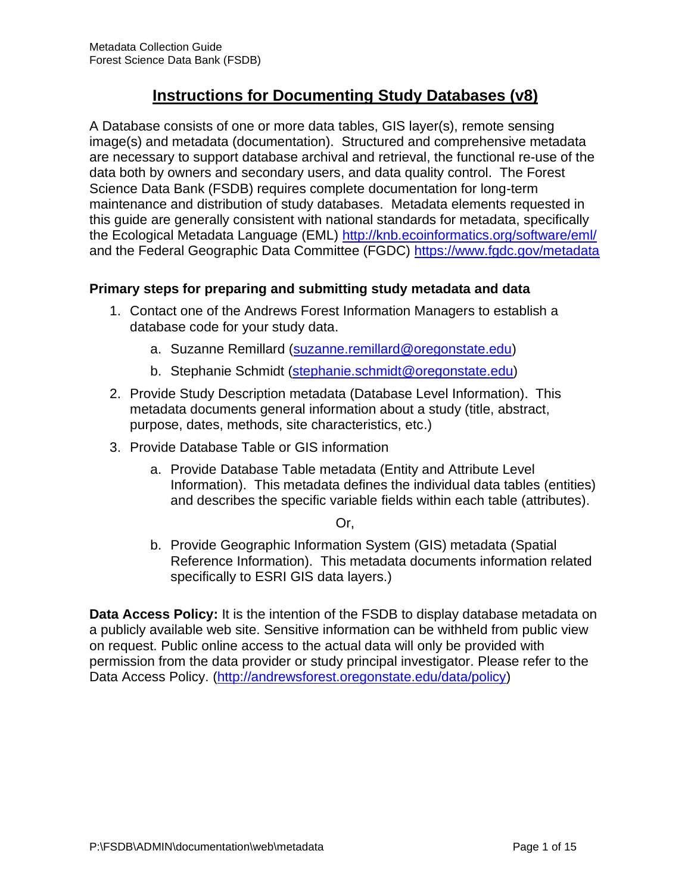# **Instructions for Documenting Study Databases (v8)**

A Database consists of one or more data tables, GIS layer(s), remote sensing image(s) and metadata (documentation). Structured and comprehensive metadata are necessary to support database archival and retrieval, the functional re-use of the data both by owners and secondary users, and data quality control. The Forest Science Data Bank (FSDB) requires complete documentation for long-term maintenance and distribution of study databases. Metadata elements requested in this guide are generally consistent with national standards for metadata, specifically the Ecological Metadata Language (EML)<http://knb.ecoinformatics.org/software/eml/> and the Federal Geographic Data Committee (FGDC) <https://www.fgdc.gov/metadata>

#### **Primary steps for preparing and submitting study metadata and data**

- 1. Contact one of the Andrews Forest Information Managers to establish a database code for your study data.
	- a. Suzanne Remillard [\(suzanne.remillard@oregonstate.edu\)](mailto:suzanne.remillard@oregonstate.edu)
	- b. Stephanie Schmidt [\(stephanie.schmidt@oregonstate.edu\)](mailto:stephanie.schmidt@oregonstate.edu)
- 2. Provide Study Description metadata (Database Level Information). This metadata documents general information about a study (title, abstract, purpose, dates, methods, site characteristics, etc.)
- 3. Provide Database Table or GIS information
	- a. Provide Database Table metadata (Entity and Attribute Level Information). This metadata defines the individual data tables (entities) and describes the specific variable fields within each table (attributes).

#### Or,

b. Provide Geographic Information System (GIS) metadata (Spatial Reference Information). This metadata documents information related specifically to ESRI GIS data layers.)

**Data Access Policy:** It is the intention of the FSDB to display database metadata on a publicly available web site. Sensitive information can be withheld from public view on request. Public online access to the actual data will only be provided with permission from the data provider or study principal investigator. Please refer to the Data Access Policy. [\(http://andrewsforest.oregonstate.edu/data/policy\)](http://andrewsforest.oregonstate.edu/data/policy)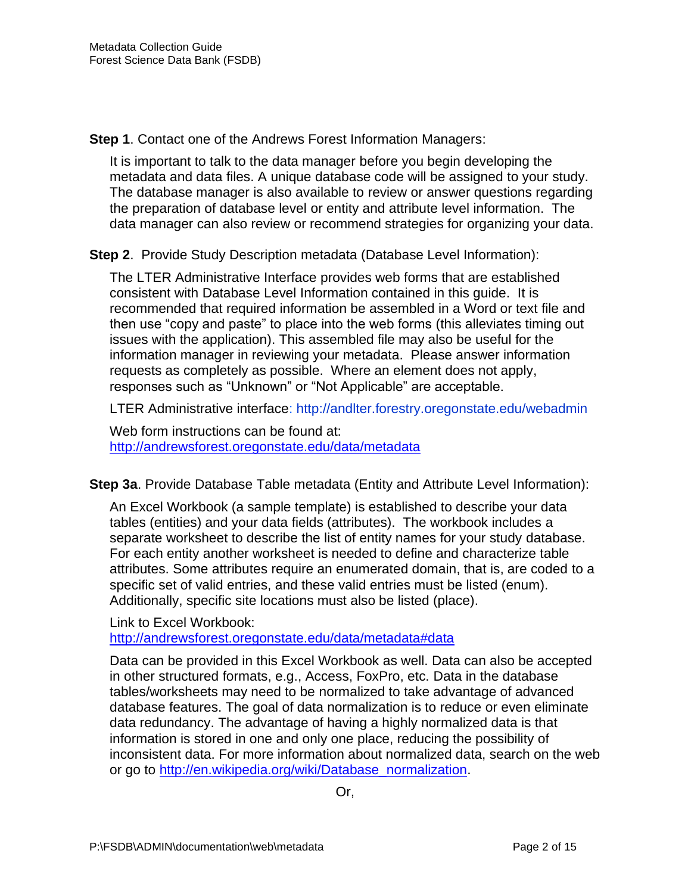**Step 1**. Contact one of the Andrews Forest Information Managers:

It is important to talk to the data manager before you begin developing the metadata and data files. A unique database code will be assigned to your study. The database manager is also available to review or answer questions regarding the preparation of database level or entity and attribute level information. The data manager can also review or recommend strategies for organizing your data.

**Step 2.** Provide Study Description metadata (Database Level Information):

The LTER Administrative Interface provides web forms that are established consistent with Database Level Information contained in this guide. It is recommended that required information be assembled in a Word or text file and then use "copy and paste" to place into the web forms (this alleviates timing out issues with the application). This assembled file may also be useful for the information manager in reviewing your metadata. Please answer information requests as completely as possible. Where an element does not apply, responses such as "Unknown" or "Not Applicable" are acceptable.

LTER Administrative interface:<http://andlter.forestry.oregonstate.edu/webadmin>

Web form instructions can be found at: <http://andrewsforest.oregonstate.edu/data/metadata>

**Step 3a**. Provide Database Table metadata (Entity and Attribute Level Information):

An Excel Workbook (a sample template) is established to describe your data tables (entities) and your data fields (attributes). The workbook includes a separate worksheet to describe the list of entity names for your study database. For each entity another worksheet is needed to define and characterize table attributes. Some attributes require an enumerated domain, that is, are coded to a specific set of valid entries, and these valid entries must be listed (enum). Additionally, specific site locations must also be listed (place).

Link to Excel Workbook: <http://andrewsforest.oregonstate.edu/data/metadata#data>

Data can be provided in this Excel Workbook as well. Data can also be accepted in other structured formats, e.g., Access, FoxPro, etc. Data in the database tables/worksheets may need to be normalized to take advantage of advanced database features. The goal of data normalization is to reduce or even eliminate data redundancy. The advantage of having a highly normalized data is that information is stored in one and only one place, reducing the possibility of inconsistent data. For more information about normalized data, search on the web or go to [http://en.wikipedia.org/wiki/Database\\_normalization.](http://en.wikipedia.org/wiki/Database_normalization)

Or,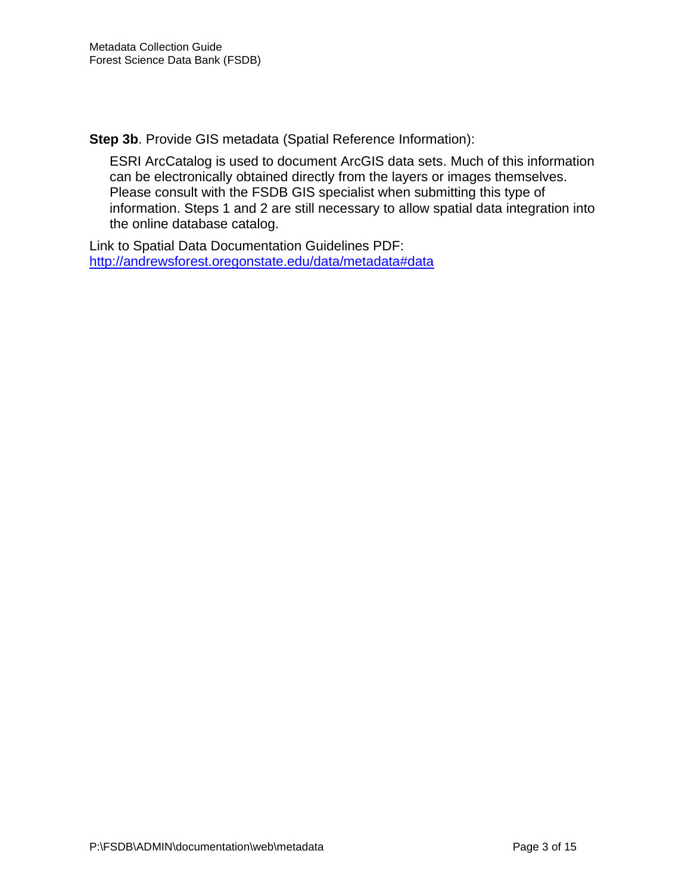**Step 3b**. Provide GIS metadata (Spatial Reference Information):

ESRI ArcCatalog is used to document ArcGIS data sets. Much of this information can be electronically obtained directly from the layers or images themselves. Please consult with the FSDB GIS specialist when submitting this type of information. Steps 1 and 2 are still necessary to allow spatial data integration into the online database catalog.

Link to Spatial Data Documentation Guidelines PDF: <http://andrewsforest.oregonstate.edu/data/metadata#data>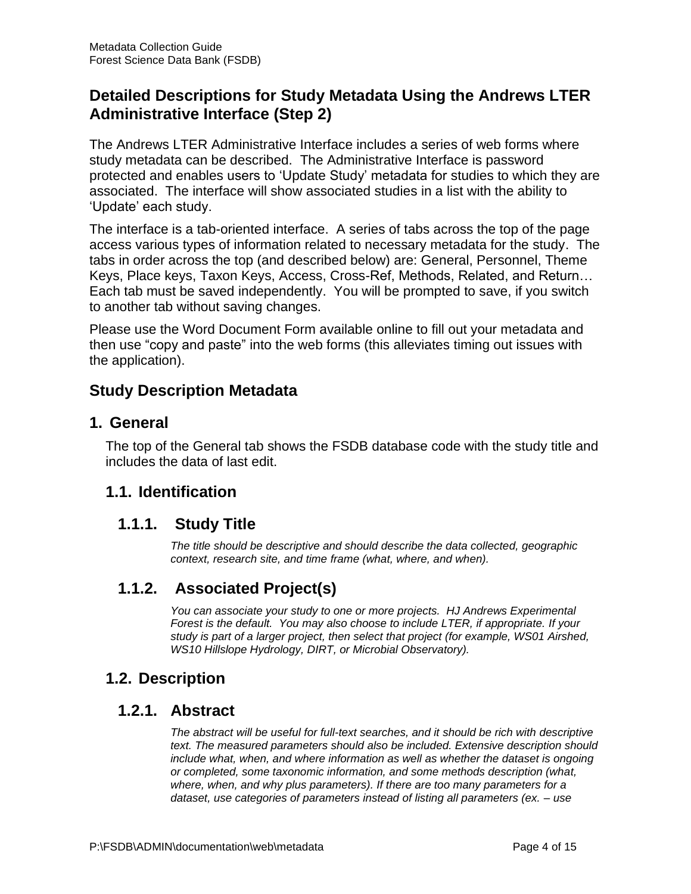# **Detailed Descriptions for Study Metadata Using the Andrews LTER Administrative Interface (Step 2)**

The Andrews LTER Administrative Interface includes a series of web forms where study metadata can be described. The Administrative Interface is password protected and enables users to 'Update Study' metadata for studies to which they are associated. The interface will show associated studies in a list with the ability to 'Update' each study.

The interface is a tab-oriented interface. A series of tabs across the top of the page access various types of information related to necessary metadata for the study. The tabs in order across the top (and described below) are: General, Personnel, Theme Keys, Place keys, Taxon Keys, Access, Cross-Ref, Methods, Related, and Return… Each tab must be saved independently. You will be prompted to save, if you switch to another tab without saving changes.

Please use the Word Document Form available online to fill out your metadata and then use "copy and paste" into the web forms (this alleviates timing out issues with the application).

# **Study Description Metadata**

## **1. General**

The top of the General tab shows the FSDB database code with the study title and includes the data of last edit.

# **1.1. Identification**

## **1.1.1. Study Title**

*The title should be descriptive and should describe the data collected, geographic context, research site, and time frame (what, where, and when).*

# **1.1.2. Associated Project(s)**

*You can associate your study to one or more projects. HJ Andrews Experimental Forest is the default. You may also choose to include LTER, if appropriate. If your study is part of a larger project, then select that project (for example, WS01 Airshed, WS10 Hillslope Hydrology, DIRT, or Microbial Observatory).*

## **1.2. Description**

## **1.2.1. Abstract**

*The abstract will be useful for full-text searches, and it should be rich with descriptive text. The measured parameters should also be included. Extensive description should include what, when, and where information as well as whether the dataset is ongoing or completed, some taxonomic information, and some methods description (what, where, when, and why plus parameters). If there are too many parameters for a dataset, use categories of parameters instead of listing all parameters (ex. – use*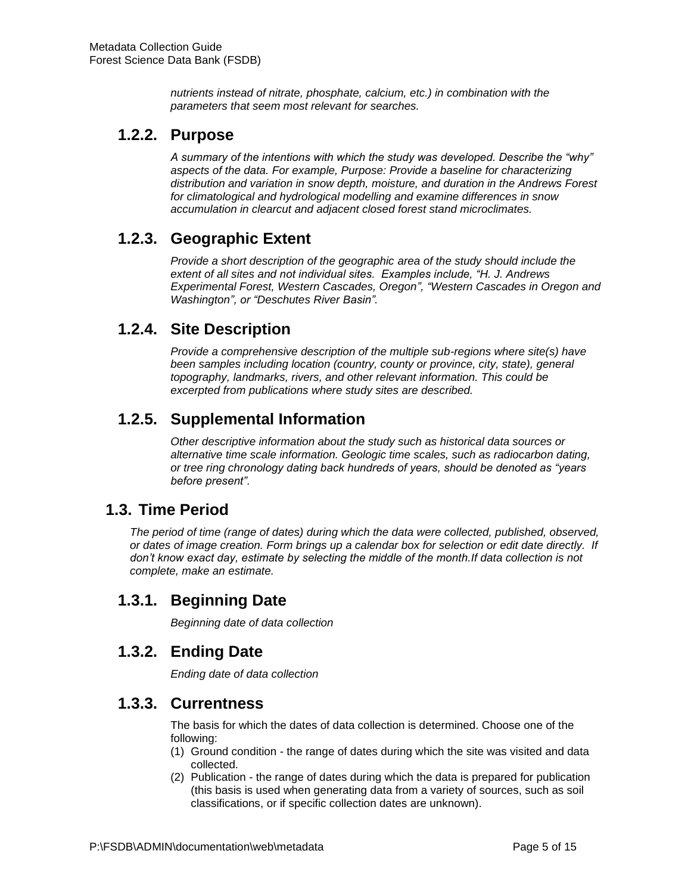*nutrients instead of nitrate, phosphate, calcium, etc.) in combination with the parameters that seem most relevant for searches.*

## **1.2.2. Purpose**

*A summary of the intentions with which the study was developed. Describe the "why" aspects of the data. For example, Purpose: Provide a baseline for characterizing distribution and variation in snow depth, moisture, and duration in the Andrews Forest for climatological and hydrological modelling and examine differences in snow accumulation in clearcut and adjacent closed forest stand microclimates.*

## **1.2.3. Geographic Extent**

*Provide a short description of the geographic area of the study should include the extent of all sites and not individual sites. Examples include, "H. J. Andrews Experimental Forest, Western Cascades, Oregon", "Western Cascades in Oregon and Washington", or "Deschutes River Basin".*

## **1.2.4. Site Description**

*Provide a comprehensive description of the multiple sub-regions where site(s) have been samples including location (country, county or province, city, state), general topography, landmarks, rivers, and other relevant information. This could be excerpted from publications where study sites are described.*

# **1.2.5. Supplemental Information**

*Other descriptive information about the study such as historical data sources or alternative time scale information. Geologic time scales, such as radiocarbon dating, or tree ring chronology dating back hundreds of years, should be denoted as "years before present".*

## **1.3. Time Period**

*The period of time (range of dates) during which the data were collected, published, observed, or dates of image creation. Form brings up a calendar box for selection or edit date directly. If don't know exact day, estimate by selecting the middle of the month.If data collection is not complete, make an estimate.*

# **1.3.1. Beginning Date**

*Beginning date of data collection*

## **1.3.2. Ending Date**

*Ending date of data collection*

### **1.3.3. Currentness**

The basis for which the dates of data collection is determined. Choose one of the following:

- (1) Ground condition the range of dates during which the site was visited and data collected.
- (2) Publication the range of dates during which the data is prepared for publication (this basis is used when generating data from a variety of sources, such as soil classifications, or if specific collection dates are unknown).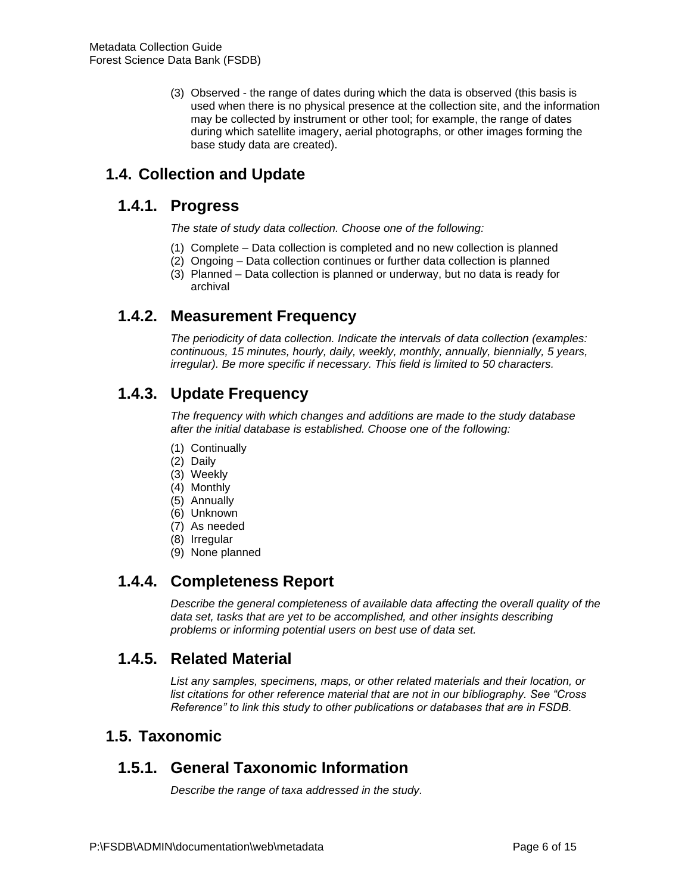(3) Observed - the range of dates during which the data is observed (this basis is used when there is no physical presence at the collection site, and the information may be collected by instrument or other tool; for example, the range of dates during which satellite imagery, aerial photographs, or other images forming the base study data are created).

# **1.4. Collection and Update**

## **1.4.1. Progress**

*The state of study data collection. Choose one of the following:* 

- (1) Complete Data collection is completed and no new collection is planned
- (2) Ongoing Data collection continues or further data collection is planned
- (3) Planned Data collection is planned or underway, but no data is ready for archival

# **1.4.2. Measurement Frequency**

*The periodicity of data collection. Indicate the intervals of data collection (examples: continuous, 15 minutes, hourly, daily, weekly, monthly, annually, biennially, 5 years, irregular). Be more specific if necessary. This field is limited to 50 characters.*

# **1.4.3. Update Frequency**

*The frequency with which changes and additions are made to the study database after the initial database is established. Choose one of the following:* 

- (1) Continually
- (2) Daily
- (3) Weekly
- (4) Monthly
- (5) Annually
- (6) Unknown
- (7) As needed
- (8) Irregular
- (9) None planned

# **1.4.4. Completeness Report**

*Describe the general completeness of available data affecting the overall quality of the*  data set, tasks that are yet to be accomplished, and other insights describing *problems or informing potential users on best use of data set.*

# **1.4.5. Related Material**

*List any samples, specimens, maps, or other related materials and their location, or list citations for other reference material that are not in our bibliography. See "Cross Reference" to link this study to other publications or databases that are in FSDB.*

## **1.5. Taxonomic**

# **1.5.1. General Taxonomic Information**

*Describe the range of taxa addressed in the study.*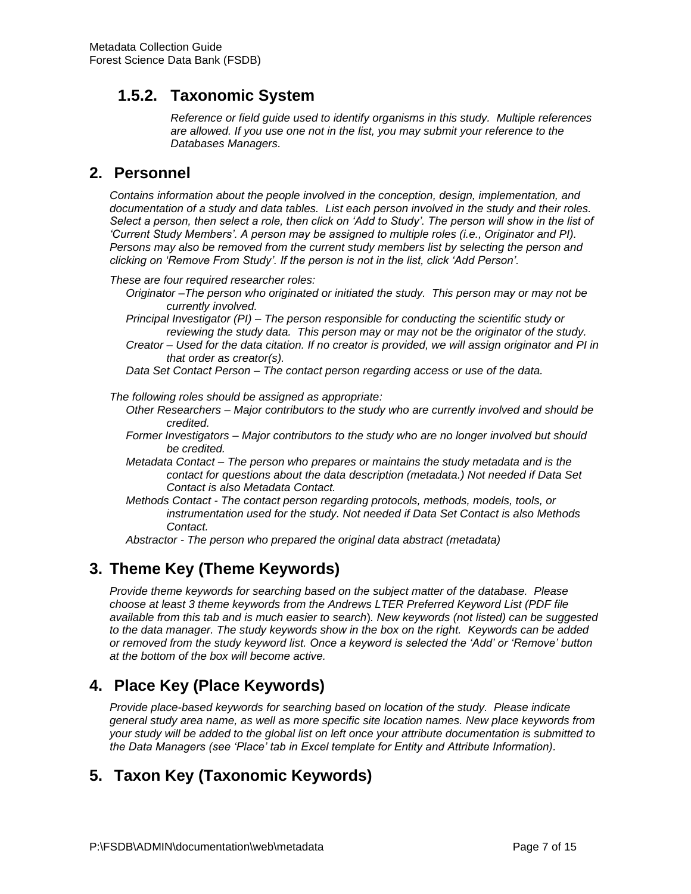# **1.5.2. Taxonomic System**

*Reference or field guide used to identify organisms in this study. Multiple references are allowed. If you use one not in the list, you may submit your reference to the Databases Managers.*

## **2. Personnel**

*Contains information about the people involved in the conception, design, implementation, and documentation of a study and data tables. List each person involved in the study and their roles. Select a person, then select a role, then click on 'Add to Study'. The person will show in the list of 'Current Study Members'. A person may be assigned to multiple roles (i.e., Originator and PI). Persons may also be removed from the current study members list by selecting the person and clicking on 'Remove From Study'. If the person is not in the list, click 'Add Person'.*

*These are four required researcher roles:* 

- *Originator –The person who originated or initiated the study. This person may or may not be currently involved.*
- *Principal Investigator (PI) – The person responsible for conducting the scientific study or reviewing the study data. This person may or may not be the originator of the study.*
- *Creator – Used for the data citation. If no creator is provided, we will assign originator and PI in that order as creator(s).*

*Data Set Contact Person – The contact person regarding access or use of the data.*

*The following roles should be assigned as appropriate:* 

- *Other Researchers – Major contributors to the study who are currently involved and should be credited.*
- *Former Investigators – Major contributors to the study who are no longer involved but should be credited.*
- *Metadata Contact – The person who prepares or maintains the study metadata and is the contact for questions about the data description (metadata.) Not needed if Data Set Contact is also Metadata Contact.*
- *Methods Contact - The contact person regarding protocols, methods, models, tools, or instrumentation used for the study. Not needed if Data Set Contact is also Methods Contact.*

*Abstractor - The person who prepared the original data abstract (metadata)* 

# **3. Theme Key (Theme Keywords)**

*Provide theme keywords for searching based on the subject matter of the database. Please choose at least 3 theme keywords from the Andrews LTER Preferred Keyword List (PDF file available from this tab and is much easier to search*)*. New keywords (not listed) can be suggested to the data manager. The study keywords show in the box on the right. Keywords can be added or removed from the study keyword list. Once a keyword is selected the 'Add' or 'Remove' button at the bottom of the box will become active.*

# **4. Place Key (Place Keywords)**

*Provide place-based keywords for searching based on location of the study. Please indicate general study area name, as well as more specific site location names. New place keywords from your study will be added to the global list on left once your attribute documentation is submitted to the Data Managers (see 'Place' tab in Excel template for Entity and Attribute Information).*

# **5. Taxon Key (Taxonomic Keywords)**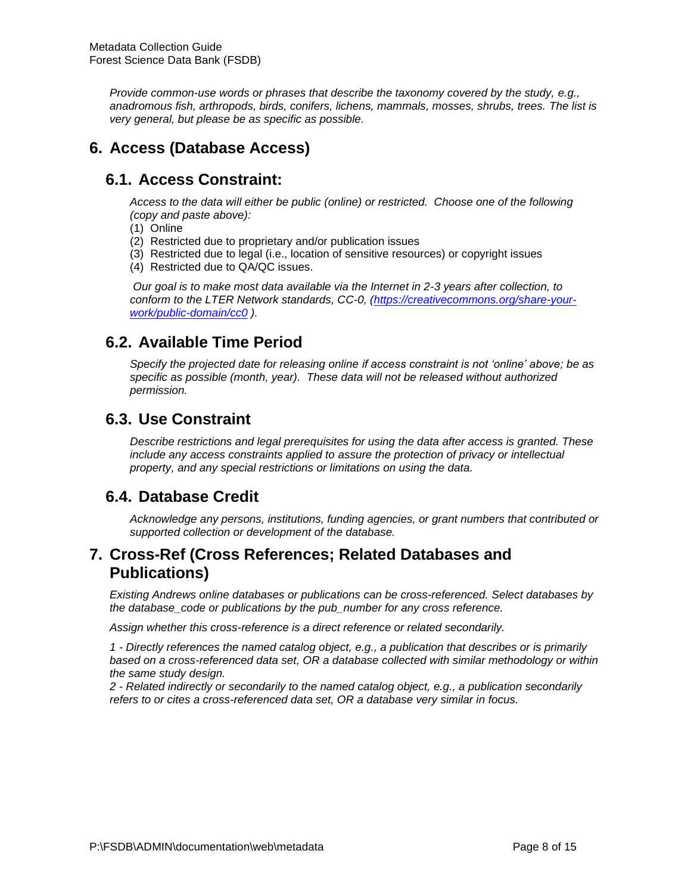*Provide common-use words or phrases that describe the taxonomy covered by the study, e.g., anadromous fish, arthropods, birds, conifers, lichens, mammals, mosses, shrubs, trees. The list is very general, but please be as specific as possible.*

# **6. Access (Database Access)**

# **6.1. Access Constraint:**

*Access to the data will either be public (online) or restricted. Choose one of the following (copy and paste above):* 

- (1) Online
- (2) Restricted due to proprietary and/or publication issues
- (3) Restricted due to legal (i.e., location of sensitive resources) or copyright issues
- (4) Restricted due to QA/QC issues.

*Our goal is to make most data available via the Internet in 2-3 years after collection, to conform to the LTER Network standards, CC-0, [\(https://creativecommons.org/share-your](https://creativecommons.org/share-your-work/public-domain/cc0/)[work/public-domain/cc0](https://creativecommons.org/share-your-work/public-domain/cc0/) ).* 

## **6.2. Available Time Period**

*Specify the projected date for releasing online if access constraint is not 'online' above; be as specific as possible (month, year). These data will not be released without authorized permission.*

# **6.3. Use Constraint**

*Describe restrictions and legal prerequisites for using the data after access is granted. These include any access constraints applied to assure the protection of privacy or intellectual property, and any special restrictions or limitations on using the data.*

## **6.4. Database Credit**

*Acknowledge any persons, institutions, funding agencies, or grant numbers that contributed or supported collection or development of the database.*

## **7. Cross-Ref (Cross References; Related Databases and Publications)**

*Existing Andrews online databases or publications can be cross-referenced. Select databases by the database\_code or publications by the pub\_number for any cross reference.*

*Assign whether this cross-reference is a direct reference or related secondarily.*

*1 - Directly references the named catalog object, e.g., a publication that describes or is primarily based on a cross-referenced data set, OR a database collected with similar methodology or within the same study design.* 

*2 - Related indirectly or secondarily to the named catalog object, e.g., a publication secondarily refers to or cites a cross-referenced data set, OR a database very similar in focus.*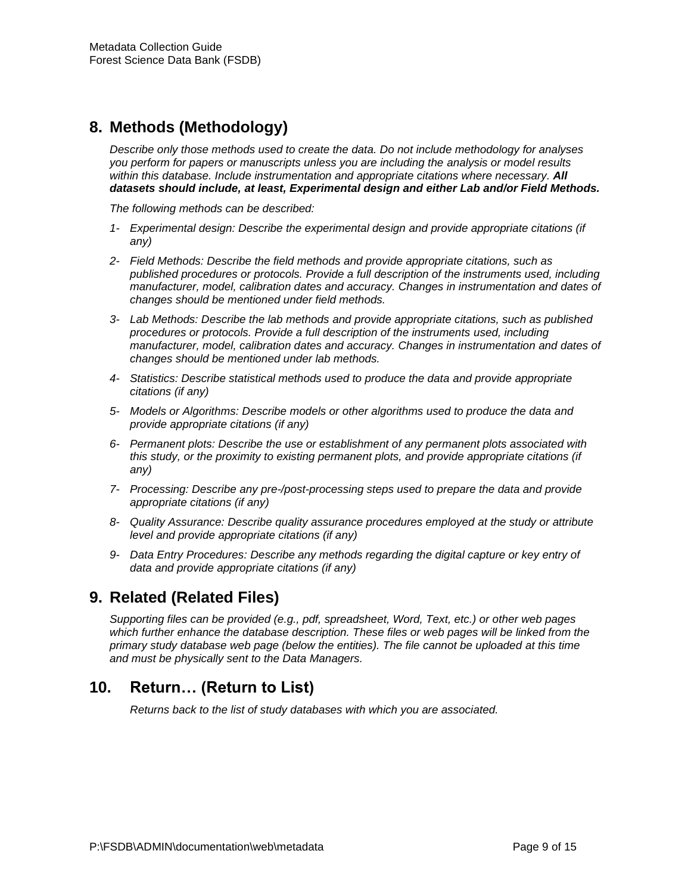# **8. Methods (Methodology)**

*Describe only those methods used to create the data. Do not include methodology for analyses you perform for papers or manuscripts unless you are including the analysis or model results within this database. Include instrumentation and appropriate citations where necessary. All datasets should include, at least, Experimental design and either Lab and/or Field Methods.*

*The following methods can be described:*

- *1- Experimental design: Describe the experimental design and provide appropriate citations (if any)*
- *2- Field Methods: Describe the field methods and provide appropriate citations, such as published procedures or protocols. Provide a full description of the instruments used, including manufacturer, model, calibration dates and accuracy. Changes in instrumentation and dates of changes should be mentioned under field methods.*
- *3- Lab Methods: Describe the lab methods and provide appropriate citations, such as published procedures or protocols. Provide a full description of the instruments used, including manufacturer, model, calibration dates and accuracy. Changes in instrumentation and dates of changes should be mentioned under lab methods.*
- *4- Statistics: Describe statistical methods used to produce the data and provide appropriate citations (if any)*
- *5- Models or Algorithms: Describe models or other algorithms used to produce the data and provide appropriate citations (if any)*
- *6- Permanent plots: Describe the use or establishment of any permanent plots associated with this study, or the proximity to existing permanent plots, and provide appropriate citations (if any)*
- *7- Processing: Describe any pre-/post-processing steps used to prepare the data and provide appropriate citations (if any)*
- *8- Quality Assurance: Describe quality assurance procedures employed at the study or attribute level and provide appropriate citations (if any)*
- *9- Data Entry Procedures: Describe any methods regarding the digital capture or key entry of data and provide appropriate citations (if any)*

# **9. Related (Related Files)**

*Supporting files can be provided (e.g., pdf, spreadsheet, Word, Text, etc.) or other web pages*  which further enhance the database description. These files or web pages will be linked from the *primary study database web page (below the entities). The file cannot be uploaded at this time and must be physically sent to the Data Managers.*

## **10. Return… (Return to List)**

*Returns back to the list of study databases with which you are associated.*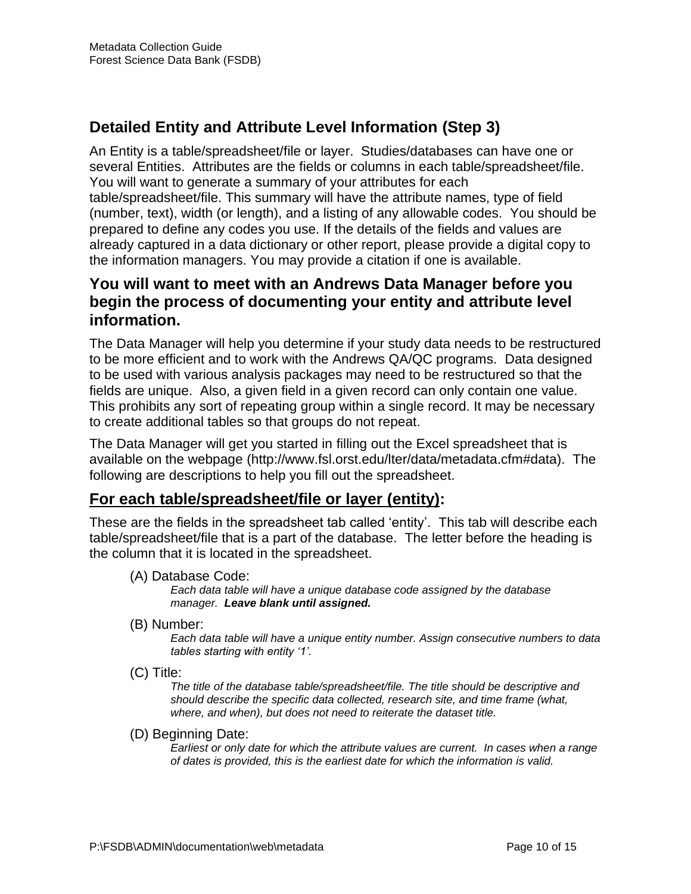# **Detailed Entity and Attribute Level Information (Step 3)**

An Entity is a table/spreadsheet/file or layer. Studies/databases can have one or several Entities. Attributes are the fields or columns in each table/spreadsheet/file. You will want to generate a summary of your attributes for each table/spreadsheet/file. This summary will have the attribute names, type of field (number, text), width (or length), and a listing of any allowable codes. You should be prepared to define any codes you use. If the details of the fields and values are already captured in a data dictionary or other report, please provide a digital copy to the information managers. You may provide a citation if one is available.

# **You will want to meet with an Andrews Data Manager before you begin the process of documenting your entity and attribute level information.**

The Data Manager will help you determine if your study data needs to be restructured to be more efficient and to work with the Andrews QA/QC programs. Data designed to be used with various analysis packages may need to be restructured so that the fields are unique. Also, a given field in a given record can only contain one value. This prohibits any sort of repeating group within a single record. It may be necessary to create additional tables so that groups do not repeat.

The Data Manager will get you started in filling out the Excel spreadsheet that is available on the webpage (http://www.fsl.orst.edu/lter/data/metadata.cfm#data). The following are descriptions to help you fill out the spreadsheet.

## **For each table/spreadsheet/file or layer (entity):**

These are the fields in the spreadsheet tab called 'entity'. This tab will describe each table/spreadsheet/file that is a part of the database. The letter before the heading is the column that it is located in the spreadsheet.

(A) Database Code:

*Each data table will have a unique database code assigned by the database manager. Leave blank until assigned.*

(B) Number:

*Each data table will have a unique entity number. Assign consecutive numbers to data tables starting with entity '1'.* 

(C) Title:

*The title of the database table/spreadsheet/file. The title should be descriptive and should describe the specific data collected, research site, and time frame (what, where, and when), but does not need to reiterate the dataset title.*

(D) Beginning Date:

*Earliest or only date for which the attribute values are current. In cases when a range of dates is provided, this is the earliest date for which the information is valid.*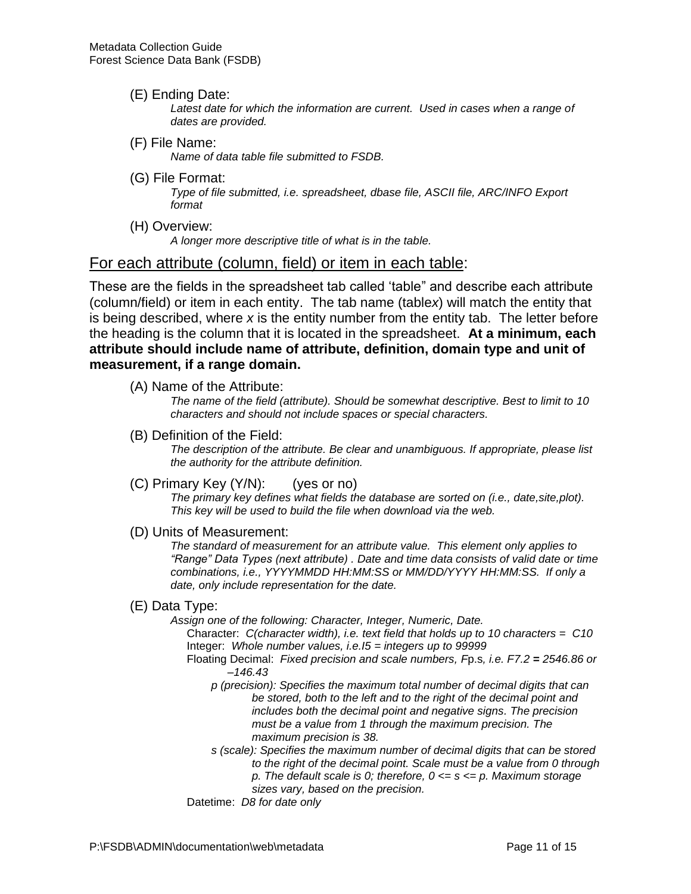(E) Ending Date:

Latest date for which the information are current. Used in cases when a range of *dates are provided.*

(F) File Name:

*Name of data table file submitted to FSDB.*

(G) File Format:

*Type of file submitted, i.e. spreadsheet, dbase file, ASCII file, ARC/INFO Export format*

(H) Overview:

*A longer more descriptive title of what is in the table.* 

#### For each attribute (column, field) or item in each table:

These are the fields in the spreadsheet tab called 'table" and describe each attribute (column/field) or item in each entity. The tab name (table*x*) will match the entity that is being described, where *x* is the entity number from the entity tab. The letter before the heading is the column that it is located in the spreadsheet. **At a minimum, each attribute should include name of attribute, definition, domain type and unit of measurement, if a range domain.**

(A) Name of the Attribute:

*The name of the field (attribute). Should be somewhat descriptive. Best to limit to 10 characters and should not include spaces or special characters.*

(B) Definition of the Field:

*The description of the attribute. Be clear and unambiguous. If appropriate, please list the authority for the attribute definition.*

(C) Primary Key (Y/N): (yes or no)

*The primary key defines what fields the database are sorted on (i.e., date,site,plot). This key will be used to build the file when download via the web.*

(D) Units of Measurement:

*The standard of measurement for an attribute value. This element only applies to "Range" Data Types (next attribute) . Date and time data consists of valid date or time combinations, i.e., YYYYMMDD HH:MM:SS or MM/DD/YYYY HH:MM:SS. If only a date, only include representation for the date.*

#### (E) Data Type:

*Assign one of the following: Character, Integer, Numeric, Date.* Character: *C(character width), i.e. text field that holds up to 10 characters = C10*

Integer: *Whole number values, i.e.I5 = integers up to 99999* Floating Decimal: *Fixed precision and scale numbers, F*p.s*, i.e. F7.2 = 2546.86 or* 

- *–146.43*
- *p (precision): Specifies the maximum total number of decimal digits that can be stored, both to the left and to the right of the decimal point and includes both the decimal point and negative signs. The precision must be a value from 1 through the maximum precision. The maximum precision is 38.*
- *s (scale): Specifies the maximum number of decimal digits that can be stored to the right of the decimal point. Scale must be a value from 0 through p. The default scale is 0; therefore, 0 <= s <= p. Maximum storage* 
	- *sizes vary, based on the precision.*
- Datetime: *D8 for date only*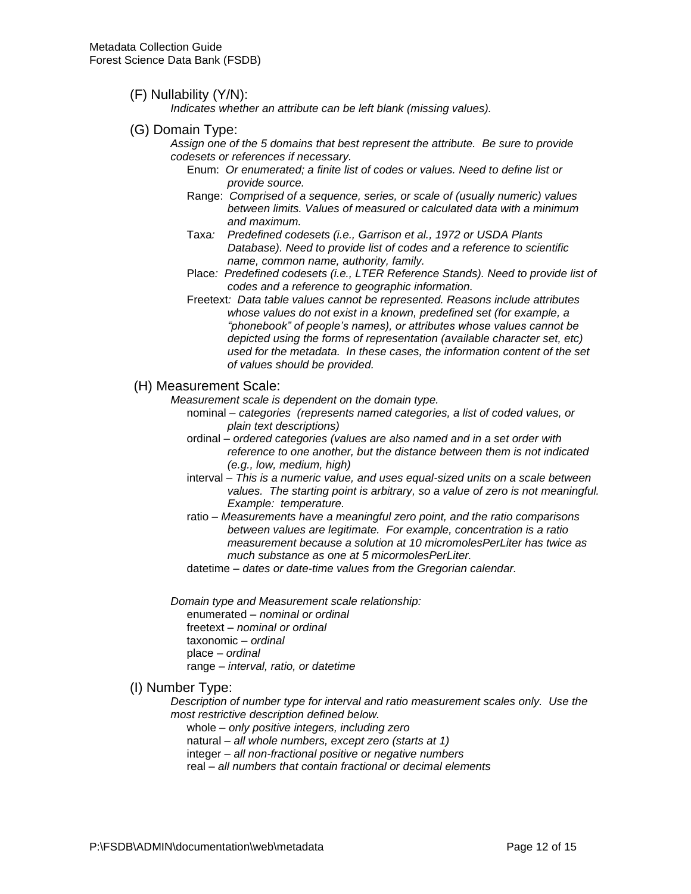#### (F) Nullability (Y/N):

*Indicates whether an attribute can be left blank (missing values).* 

- (G) Domain Type:
	- *Assign one of the 5 domains that best represent the attribute. Be sure to provide codesets or references if necessary.*
		- Enum: *Or enumerated; a finite list of codes or values. Need to define list or provide source.*
		- Range: *Comprised of a sequence, series, or scale of (usually numeric) values between limits. Values of measured or calculated data with a minimum and maximum.*
		- Taxa*: Predefined codesets (i.e., Garrison et al., 1972 or USDA Plants Database). Need to provide list of codes and a reference to scientific name, common name, authority, family.*
		- Place*: Predefined codesets (i.e., LTER Reference Stands). Need to provide list of codes and a reference to geographic information.*
		- Freetext*: Data table values cannot be represented. Reasons include attributes whose values do not exist in a known, predefined set (for example, a "phonebook" of people's names), or attributes whose values cannot be depicted using the forms of representation (available character set, etc) used for the metadata. In these cases, the information content of the set of values should be provided.*

#### (H) Measurement Scale:

- *Measurement scale is dependent on the domain type.*
	- nominal *– categories (represents named categories, a list of coded values, or plain text descriptions)*
	- ordinal *– ordered categories (values are also named and in a set order with reference to one another, but the distance between them is not indicated (e.g., low, medium, high)*
	- interval *– This is a numeric value, and uses equal-sized units on a scale between values. The starting point is arbitrary, so a value of zero is not meaningful. Example: temperature.*
	- ratio *– Measurements have a meaningful zero point, and the ratio comparisons between values are legitimate. For example, concentration is a ratio measurement because a solution at 10 micromolesPerLiter has twice as much substance as one at 5 micormolesPerLiter.*

datetime – *dates or date-time values from the Gregorian calendar.*

*Domain type and Measurement scale relationship:*

enumerated *– nominal or ordinal*

- freetext *– nominal or ordinal*
- taxonomic *– ordinal*

place *– ordinal*

range – *interval, ratio, or datetime*

#### (I) Number Type:

*Description of number type for interval and ratio measurement scales only. Use the most restrictive description defined below.*

whole *– only positive integers, including zero*

natural *– all whole numbers, except zero (starts at 1)*

integer *– all non-fractional positive or negative numbers*

real – *all numbers that contain fractional or decimal elements*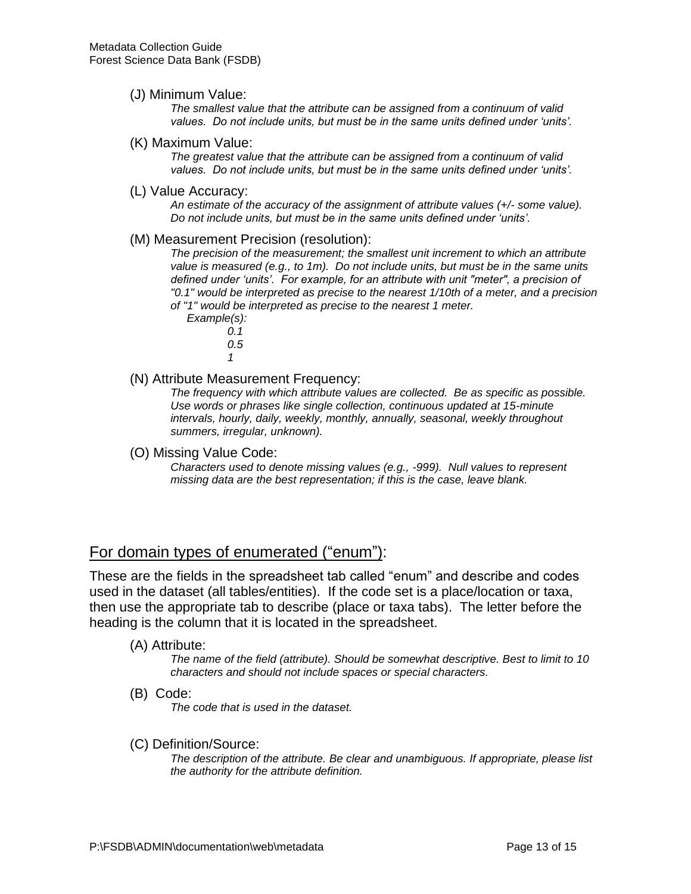(J) Minimum Value:

*The smallest value that the attribute can be assigned from a continuum of valid values. Do not include units, but must be in the same units defined under 'units'.*

(K) Maximum Value:

*The greatest value that the attribute can be assigned from a continuum of valid values. Do not include units, but must be in the same units defined under 'units'.*

(L) Value Accuracy:

*An estimate of the accuracy of the assignment of attribute values (+/- some value). Do not include units, but must be in the same units defined under 'units'.*

(M) Measurement Precision (resolution):

*The precision of the measurement; the smallest unit increment to which an attribute value is measured (e.g., to 1m). Do not include units, but must be in the same units defined under 'units'. For example, for an attribute with unit "meter", a precision of "0.1" would be interpreted as precise to the nearest 1/10th of a meter, and a precision of "1" would be interpreted as precise to the nearest 1 meter.*

- *Example(s): 0.1 0.5*
	- *1*

(N) Attribute Measurement Frequency:

*The frequency with which attribute values are collected. Be as specific as possible. Use words or phrases like single collection, continuous updated at 15-minute intervals, hourly, daily, weekly, monthly, annually, seasonal, weekly throughout summers, irregular, unknown).*

(O) Missing Value Code:

*Characters used to denote missing values (e.g., -999). Null values to represent missing data are the best representation; if this is the case, leave blank.*

### For domain types of enumerated ("enum"):

These are the fields in the spreadsheet tab called "enum" and describe and codes used in the dataset (all tables/entities). If the code set is a place/location or taxa, then use the appropriate tab to describe (place or taxa tabs). The letter before the heading is the column that it is located in the spreadsheet.

(A) Attribute:

*The name of the field (attribute). Should be somewhat descriptive. Best to limit to 10 characters and should not include spaces or special characters.*

(B) Code:

*The code that is used in the dataset.*

(C) Definition/Source:

*The description of the attribute. Be clear and unambiguous. If appropriate, please list the authority for the attribute definition.*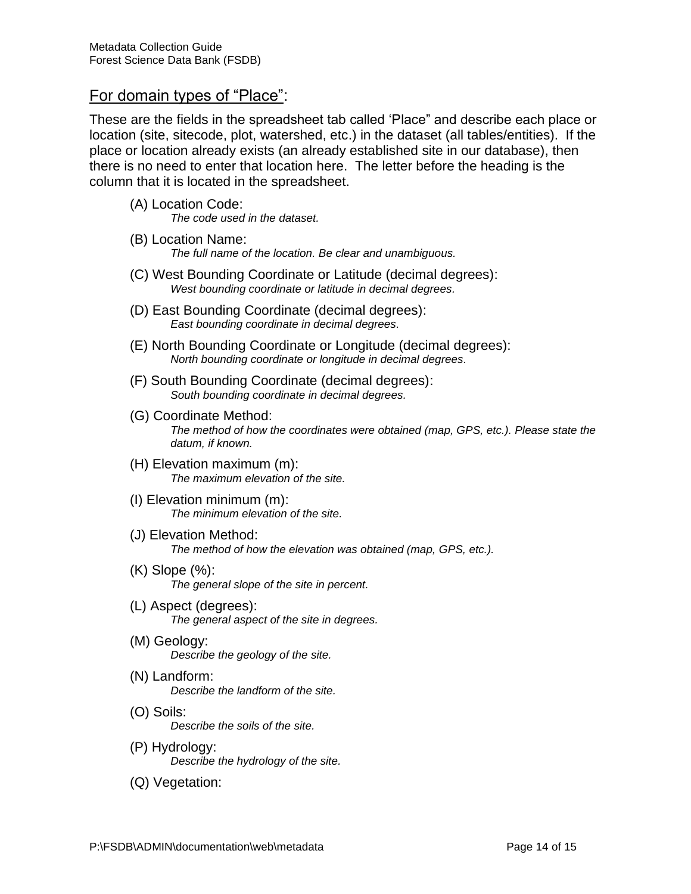### For domain types of "Place":

These are the fields in the spreadsheet tab called 'Place" and describe each place or location (site, sitecode, plot, watershed, etc.) in the dataset (all tables/entities). If the place or location already exists (an already established site in our database), then there is no need to enter that location here. The letter before the heading is the column that it is located in the spreadsheet.

- (A) Location Code:
	- *The code used in the dataset.*
- (B) Location Name: *The full name of the location. Be clear and unambiguous.*
- (C) West Bounding Coordinate or Latitude (decimal degrees): *West bounding coordinate or latitude in decimal degrees.*
- (D) East Bounding Coordinate (decimal degrees): *East bounding coordinate in decimal degrees.*
- (E) North Bounding Coordinate or Longitude (decimal degrees): *North bounding coordinate or longitude in decimal degrees.*
- (F) South Bounding Coordinate (decimal degrees): *South bounding coordinate in decimal degrees.*
- (G) Coordinate Method: *The method of how the coordinates were obtained (map, GPS, etc.). Please state the datum, if known.*
- (H) Elevation maximum (m): *The maximum elevation of the site.*
- (I) Elevation minimum (m): *The minimum elevation of the site.*
- (J) Elevation Method: *The method of how the elevation was obtained (map, GPS, etc.).*
- (K) Slope (%): *The general slope of the site in percent.*
- (L) Aspect (degrees): *The general aspect of the site in degrees.*
- (M) Geology: *Describe the geology of the site.*
- (N) Landform: *Describe the landform of the site.*
- (O) Soils: *Describe the soils of the site.*
- (P) Hydrology: *Describe the hydrology of the site.*
- (Q) Vegetation: